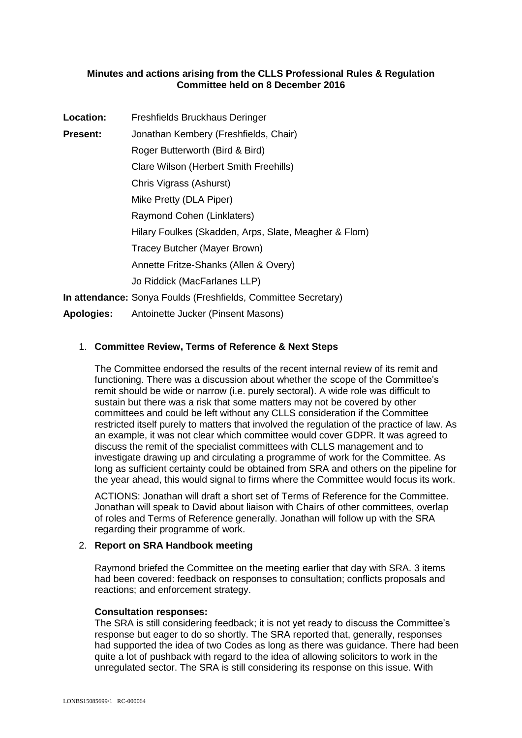## **Minutes and actions arising from the CLLS Professional Rules & Regulation Committee held on 8 December 2016**

| Location:       | Freshfields Bruckhaus Deringer                                 |
|-----------------|----------------------------------------------------------------|
| <b>Present:</b> | Jonathan Kembery (Freshfields, Chair)                          |
|                 | Roger Butterworth (Bird & Bird)                                |
|                 | Clare Wilson (Herbert Smith Freehills)                         |
|                 | Chris Vigrass (Ashurst)                                        |
|                 | Mike Pretty (DLA Piper)                                        |
|                 | Raymond Cohen (Linklaters)                                     |
|                 | Hilary Foulkes (Skadden, Arps, Slate, Meagher & Flom)          |
|                 | Tracey Butcher (Mayer Brown)                                   |
|                 | Annette Fritze-Shanks (Allen & Overy)                          |
|                 | Jo Riddick (MacFarlanes LLP)                                   |
|                 | In attendance: Sonya Foulds (Freshfields, Committee Secretary) |
|                 | And I also a late Anti-line the United Alternative Advanced    |

**Apologies:** Antoinette Jucker (Pinsent Masons)

# 1. **Committee Review, Terms of Reference & Next Steps**

The Committee endorsed the results of the recent internal review of its remit and functioning. There was a discussion about whether the scope of the Committee's remit should be wide or narrow (i.e. purely sectoral). A wide role was difficult to sustain but there was a risk that some matters may not be covered by other committees and could be left without any CLLS consideration if the Committee restricted itself purely to matters that involved the regulation of the practice of law. As an example, it was not clear which committee would cover GDPR. It was agreed to discuss the remit of the specialist committees with CLLS management and to investigate drawing up and circulating a programme of work for the Committee. As long as sufficient certainty could be obtained from SRA and others on the pipeline for the year ahead, this would signal to firms where the Committee would focus its work.

ACTIONS: Jonathan will draft a short set of Terms of Reference for the Committee. Jonathan will speak to David about liaison with Chairs of other committees, overlap of roles and Terms of Reference generally. Jonathan will follow up with the SRA regarding their programme of work.

# 2. **Report on SRA Handbook meeting**

Raymond briefed the Committee on the meeting earlier that day with SRA. 3 items had been covered: feedback on responses to consultation; conflicts proposals and reactions; and enforcement strategy.

## **Consultation responses:**

The SRA is still considering feedback; it is not yet ready to discuss the Committee's response but eager to do so shortly. The SRA reported that, generally, responses had supported the idea of two Codes as long as there was guidance. There had been quite a lot of pushback with regard to the idea of allowing solicitors to work in the unregulated sector. The SRA is still considering its response on this issue. With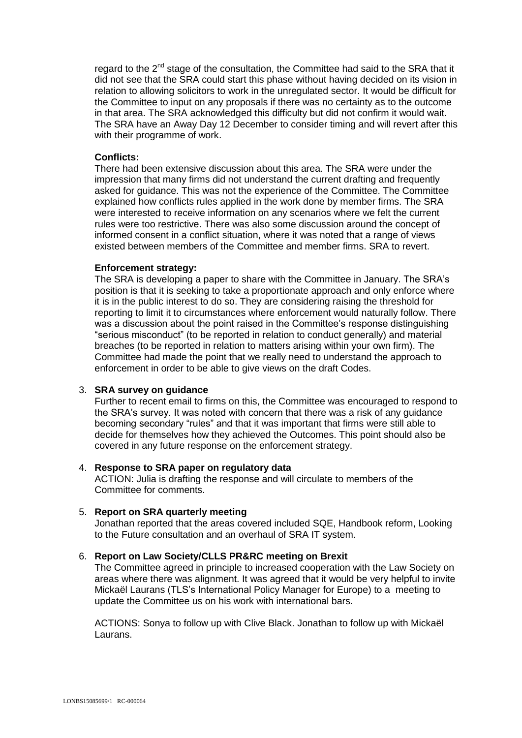regard to the 2<sup>nd</sup> stage of the consultation, the Committee had said to the SRA that it did not see that the SRA could start this phase without having decided on its vision in relation to allowing solicitors to work in the unregulated sector. It would be difficult for the Committee to input on any proposals if there was no certainty as to the outcome in that area. The SRA acknowledged this difficulty but did not confirm it would wait. The SRA have an Away Day 12 December to consider timing and will revert after this with their programme of work.

### **Conflicts:**

There had been extensive discussion about this area. The SRA were under the impression that many firms did not understand the current drafting and frequently asked for guidance. This was not the experience of the Committee. The Committee explained how conflicts rules applied in the work done by member firms. The SRA were interested to receive information on any scenarios where we felt the current rules were too restrictive. There was also some discussion around the concept of informed consent in a conflict situation, where it was noted that a range of views existed between members of the Committee and member firms. SRA to revert.

#### **Enforcement strategy:**

The SRA is developing a paper to share with the Committee in January. The SRA's position is that it is seeking to take a proportionate approach and only enforce where it is in the public interest to do so. They are considering raising the threshold for reporting to limit it to circumstances where enforcement would naturally follow. There was a discussion about the point raised in the Committee's response distinguishing "serious misconduct" (to be reported in relation to conduct generally) and material breaches (to be reported in relation to matters arising within your own firm). The Committee had made the point that we really need to understand the approach to enforcement in order to be able to give views on the draft Codes.

## 3. **SRA survey on guidance**

Further to recent email to firms on this, the Committee was encouraged to respond to the SRA's survey. It was noted with concern that there was a risk of any guidance becoming secondary "rules" and that it was important that firms were still able to decide for themselves how they achieved the Outcomes. This point should also be covered in any future response on the enforcement strategy.

#### 4. **Response to SRA paper on regulatory data**

ACTION: Julia is drafting the response and will circulate to members of the Committee for comments.

## 5. **Report on SRA quarterly meeting**

Jonathan reported that the areas covered included SQE, Handbook reform, Looking to the Future consultation and an overhaul of SRA IT system.

## 6. **Report on Law Society/CLLS PR&RC meeting on Brexit**

The Committee agreed in principle to increased cooperation with the Law Society on areas where there was alignment. It was agreed that it would be very helpful to invite Mickaël Laurans (TLS's International Policy Manager for Europe) to a meeting to update the Committee us on his work with international bars.

ACTIONS: Sonya to follow up with Clive Black. Jonathan to follow up with Mickaël Laurans.